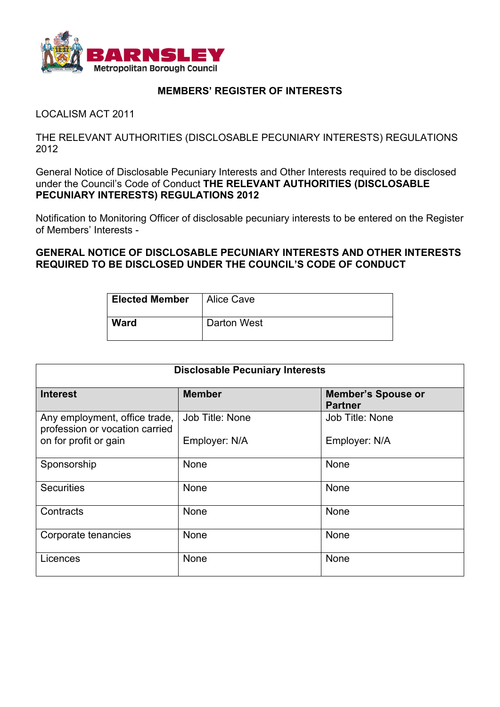

## **MEMBERS' REGISTER OF INTERESTS**

LOCALISM ACT 2011

THE RELEVANT AUTHORITIES (DISCLOSABLE PECUNIARY INTERESTS) REGULATIONS 2012

General Notice of Disclosable Pecuniary Interests and Other Interests required to be disclosed under the Council's Code of Conduct **THE RELEVANT AUTHORITIES (DISCLOSABLE PECUNIARY INTERESTS) REGULATIONS 2012**

Notification to Monitoring Officer of disclosable pecuniary interests to be entered on the Register of Members' Interests -

**GENERAL NOTICE OF DISCLOSABLE PECUNIARY INTERESTS AND OTHER INTERESTS REQUIRED TO BE DISCLOSED UNDER THE COUNCIL'S CODE OF CONDUCT**

| <b>Elected Member</b> | Alice Cave  |
|-----------------------|-------------|
| <b>Ward</b>           | Darton West |

| <b>Disclosable Pecuniary Interests</b>                          |                 |                                             |  |
|-----------------------------------------------------------------|-----------------|---------------------------------------------|--|
| <b>Interest</b>                                                 | <b>Member</b>   | <b>Member's Spouse or</b><br><b>Partner</b> |  |
| Any employment, office trade,<br>profession or vocation carried | Job Title: None | Job Title: None                             |  |
| on for profit or gain                                           | Employer: N/A   | Employer: N/A                               |  |
| Sponsorship                                                     | None            | None                                        |  |
| <b>Securities</b>                                               | None            | None                                        |  |
| Contracts                                                       | None            | None                                        |  |
| Corporate tenancies                                             | None            | None                                        |  |
| Licences                                                        | None            | None                                        |  |